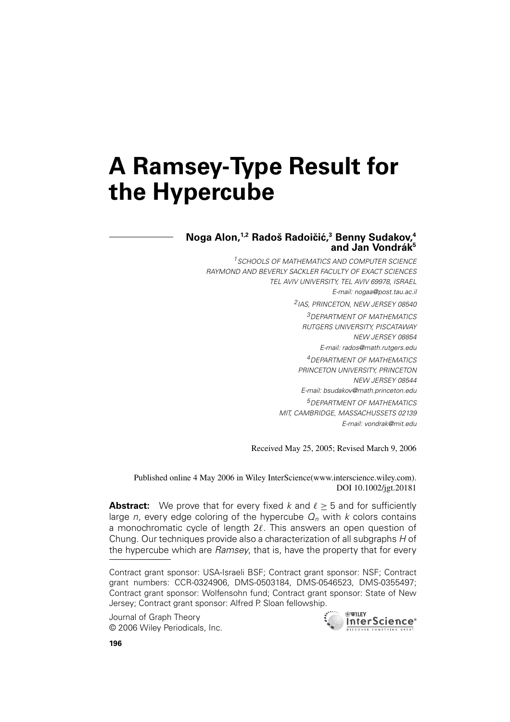# **A Ramsey-Type Result for the Hypercube**

## **Noga Alon,1,2 Rados Radoi ˇ ciˇ c,´ <sup>3</sup> Benny Sudakov,4** and Jan Vondrák<sup>5</sup>

<sup>1</sup> SCHOOLS OF MATHEMATICS AND COMPUTER SCIENCE RAYMOND AND BEVERLY SACKLER FACULTY OF EXACT SCIENCES TEL AVIV UNIVERSITY, TEL AVIV 69978, ISRAEL E-mail: nogaa@post.tau.ac.il 2IAS, PRINCETON, NEW JERSEY 08540 3DEPARTMENT OF MATHEMATICS RUTGERS UNIVERSITY, PISCATAWAY NEW JERSEY 08854 E-mail: rados@math.rutgers.edu 4DEPARTMENT OF MATHEMATICS PRINCETON UNIVERSITY, PRINCETON NEW JERSEY 08544 E-mail: bsudakov@math.princeton.edu 5DEPARTMENT OF MATHEMATICS MIT, CAMBRIDGE, MASSACHUSSETS 02139 E-mail: vondrak@mit.edu

Received May 25, 2005; Revised March 9, 2006

Published online 4 May 2006 in Wiley InterScience(www.interscience.wiley.com). DOI 10.1002/jgt.20181

**Abstract:** We prove that for every fixed  $k$  and  $\ell > 5$  and for sufficiently large n, every edge coloring of the hypercube  $Q_n$  with k colors contains a monochromatic cycle of length  $2\ell$ . This answers an open question of Chung. Our techniques provide also a characterization of all subgraphs H of the hypercube which are Ramsey, that is, have the property that for every

Contract grant sponsor: USA-Israeli BSF; Contract grant sponsor: NSF; Contract grant numbers: CCR-0324906, DMS-0503184, DMS-0546523, DMS-0355497; Contract grant sponsor: Wolfensohn fund; Contract grant sponsor: State of New Jersey; Contract grant sponsor: Alfred P. Sloan fellowship.

Journal of Graph Theory © 2006 Wiley Periodicals, Inc.

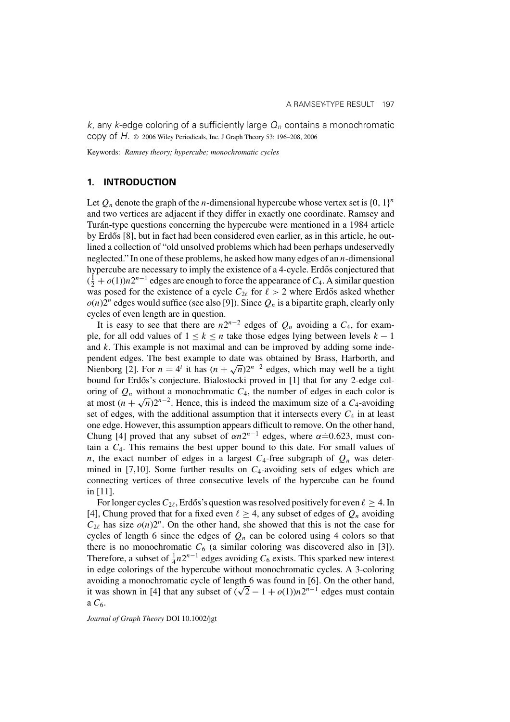k, any k-edge coloring of a sufficiently large  $Q_n$  contains a monochromatic copy of H. © 2006 Wiley Periodicals, Inc. J Graph Theory 53: 196–208, 2006

Keywords: *Ramsey theory; hypercube; monochromatic cycles*

#### **1. INTRODUCTION**

Let  $Q_n$  denote the graph of the *n*-dimensional hypercube whose vertex set is  $\{0, 1\}^n$ and two vertices are adjacent if they differ in exactly one coordinate. Ramsey and Turán-type questions concerning the hypercube were mentioned in a 1984 article by Erdős [8], but in fact had been considered even earlier, as in this article, he outlined a collection of "old unsolved problems which had been perhaps undeservedly neglected." In one of these problems, he asked how many edges of an  $n$ -dimensional hypercube are necessary to imply the existence of a 4-cycle. Erdős conjectured that  $(\frac{1}{2} + o(1))n2^{n-1}$  edges are enough to force the appearance of  $C_4$ . A similar question was posed for the existence of a cycle  $C_{2\ell}$  for  $\ell > 2$  where Erdős asked whether  $o(n)2^n$  edges would suffice (see also [9]). Since  $Q_n$  is a bipartite graph, clearly only cycles of even length are in question.

It is easy to see that there are  $n2^{n-2}$  edges of  $Q_n$  avoiding a  $C_4$ , for example, for all odd values of  $1 \leq k \leq n$  take those edges lying between levels  $k - 1$ and  $k$ . This example is not maximal and can be improved by adding some independent edges. The best example to date was obtained by Brass, Harborth, and Nienborg [2]. For  $n = 4^t$  it has  $(n + \sqrt{n})2^{n-2}$  edges, which may well be a tight bound for Erdős's conjecture. Bialostocki proved in [1] that for any 2-edge coloring of  $Q_n$  without a monochromatic  $C_4$ , the number of edges in each color is at most  $(n + \sqrt{n})2^{n-2}$ . Hence, this is indeed the maximum size of a C<sub>4</sub>-avoiding set of edges, with the additional assumption that it intersects every  $C_4$  in at least one edge. However, this assumption appears difficult to remove. On the other hand, Chung [4] proved that any subset of  $\alpha n2^{n-1}$  edges, where  $\alpha \doteq 0.623$ , must contain a  $C<sub>4</sub>$ . This remains the best upper bound to this date. For small values of n, the exact number of edges in a largest  $C_4$ -free subgraph of  $Q_n$  was determined in [7,10]. Some further results on  $C_4$ -avoiding sets of edges which are connecting vertices of three consecutive levels of the hypercube can be found in [11].

For longer cycles  $C_{2\ell}$ , Erdős's question was resolved positively for even  $\ell \geq 4$ . In [4], Chung proved that for a fixed even  $\ell \geq 4$ , any subset of edges of  $Q_n$  avoiding  $C_{2\ell}$  has size  $o(n)2^n$ . On the other hand, she showed that this is not the case for cycles of length 6 since the edges of  $Q_n$  can be colored using 4 colors so that there is no monochromatic  $C_6$  (a similar coloring was discovered also in [3]). Therefore, a subset of  $\frac{1}{4}n2^{n-1}$  edges avoiding  $C_6$  exists. This sparked new interest in edge colorings of the hypercube without monochromatic cycles. A 3-coloring avoiding a monochromatic cycle of length 6 was found in [6]. On the other hand, it was shown in [4] that any subset of  $(\sqrt{2}-1+o(1))n2^{n-1}$  edges must contain a  $C<sub>6</sub>$ .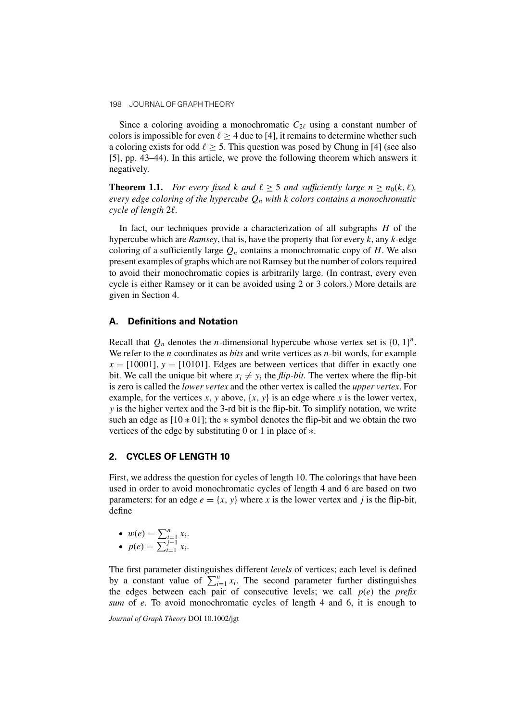Since a coloring avoiding a monochromatic  $C_{2\ell}$  using a constant number of colors is impossible for even  $\ell \geq 4$  due to [4], it remains to determine whether such a coloring exists for odd  $\ell \geq 5$ . This question was posed by Chung in [4] (see also [5], pp. 43–44). In this article, we prove the following theorem which answers it negatively.

**Theorem 1.1.** *For every fixed k and*  $\ell \geq 5$  *and sufficiently large*  $n \geq n_0(k, \ell)$ *, every edge coloring of the hypercube*  $Q_n$  *with* k *colors contains a monochromatic cycle of length* 2*.*

In fact, our techniques provide a characterization of all subgraphs  $H$  of the hypercube which are *Ramsey*, that is, have the property that for every  $k$ , any  $k$ -edge coloring of a sufficiently large  $Q_n$  contains a monochromatic copy of H. We also present examples of graphs which are not Ramsey but the number of colors required to avoid their monochromatic copies is arbitrarily large. (In contrast, every even cycle is either Ramsey or it can be avoided using 2 or 3 colors.) More details are given in Section 4.

# **A. Definitions and Notation**

Recall that  $Q_n$  denotes the *n*-dimensional hypercube whose vertex set is  $\{0, 1\}^n$ . We refer to the *n* coordinates as *bits* and write vertices as *n*-bit words, for example  $x = [10001], y = [10101].$  Edges are between vertices that differ in exactly one bit. We call the unique bit where  $x_i \neq y_i$  the *flip-bit*. The vertex where the flip-bit is zero is called the *lower vertex* and the other vertex is called the *upper vertex*. For example, for the vertices x, y above,  $\{x, y\}$  is an edge where x is the lower vertex, y is the higher vertex and the 3-rd bit is the flip-bit. To simplify notation, we write such an edge as  $[10 * 01]$ ; the  $*$  symbol denotes the flip-bit and we obtain the two vertices of the edge by substituting 0 or 1 in place of ∗.

# **2. CYCLES OF LENGTH 10**

First, we address the question for cycles of length 10. The colorings that have been used in order to avoid monochromatic cycles of length 4 and 6 are based on two parameters: for an edge  $e = \{x, y\}$  where x is the lower vertex and j is the flip-bit, define

$$
\bullet \ \ w(e) = \sum_{i=1}^n x_i.
$$

•  $p(e) = \sum_{i=1}^{j-1} x_i$ .

The first parameter distinguishes different *levels* of vertices; each level is defined by a constant value of  $\sum_{i=1}^{n} x_i$ . The second parameter further distinguishes the edges between each pair of consecutive levels; we call  $p(e)$  the *prefix sum* of e. To avoid monochromatic cycles of length 4 and 6, it is enough to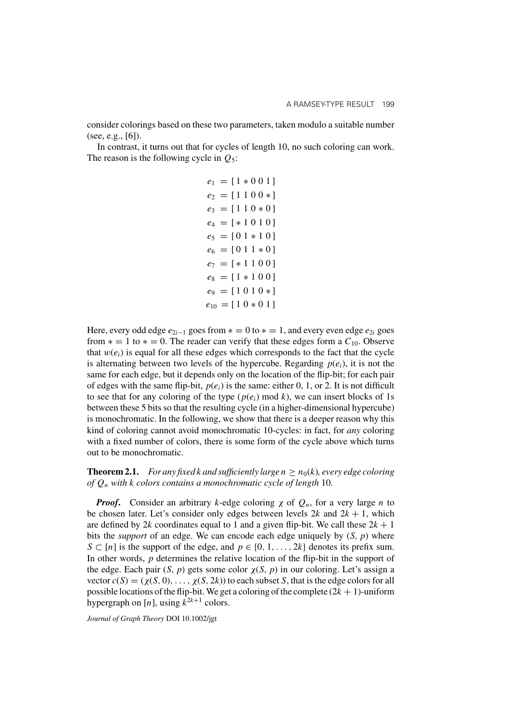consider colorings based on these two parameters, taken modulo a suitable number (see, e.g.,  $[6]$ ).

In contrast, it turns out that for cycles of length 10, no such coloring can work. The reason is the following cycle in  $Q_5$ :

|  | $e_1 = [1 * 0 0 1]$         |
|--|-----------------------------|
|  | $e_2 = [1 1 0 0 *]$         |
|  | $e_3 = [1 1 0 * 0]$         |
|  | $e_4 = [*1010]$             |
|  | $e_5 = [01 * 10]$           |
|  | $e_6 = [0 1 1 * 0]$         |
|  | $e_7 = [*1100]$             |
|  | $e_8 = [1 * 1 0 0]$         |
|  | $e_9 = [1 \ 0 \ 1 \ 0 \ *]$ |
|  | $e_{10} = [10*01]$          |

Here, every odd edge  $e_{2i-1}$  goes from  $* = 0$  to  $* = 1$ , and every even edge  $e_{2i}$  goes from  $* = 1$  to  $* = 0$ . The reader can verify that these edges form a  $C_{10}$ . Observe that  $w(e_i)$  is equal for all these edges which corresponds to the fact that the cycle is alternating between two levels of the hypercube. Regarding  $p(e_i)$ , it is not the same for each edge, but it depends only on the location of the flip-bit; for each pair of edges with the same flip-bit,  $p(e_i)$  is the same: either 0, 1, or 2. It is not difficult to see that for any coloring of the type  $(p(e_i) \text{ mod } k)$ , we can insert blocks of 1s between these 5 bits so that the resulting cycle (in a higher-dimensional hypercube) is monochromatic. In the following, we show that there is a deeper reason why this kind of coloring cannot avoid monochromatic 10-cycles: in fact, for *any* coloring with a fixed number of colors, there is some form of the cycle above which turns out to be monochromatic.

**Theorem 2.1.** *For any fixed k and sufficiently large*  $n \ge n_0(k)$ *, every edge coloring of* Qn *with* k *colors contains a monochromatic cycle of length* 10*.*

*Proof.* Consider an arbitrary k-edge coloring  $\chi$  of  $Q_n$ , for a very large n to be chosen later. Let's consider only edges between levels  $2k$  and  $2k + 1$ , which are defined by 2k coordinates equal to 1 and a given flip-bit. We call these  $2k + 1$ bits the *support* of an edge. We can encode each edge uniquely by  $(S, p)$  where  $S \subset [n]$  is the support of the edge, and  $p \in \{0, 1, \ldots, 2k\}$  denotes its prefix sum. In other words, p determines the relative location of the flip-bit in the support of the edge. Each pair  $(S, p)$  gets some color  $\chi(S, p)$  in our coloring. Let's assign a vector  $c(S) = (\chi(S, 0), \ldots, \chi(S, 2k))$  to each subset S, that is the edge colors for all possible locations of the flip-bit. We get a coloring of the complete  $(2k + 1)$ -uniform hypergraph on [n], using  $k^{2k+1}$  colors.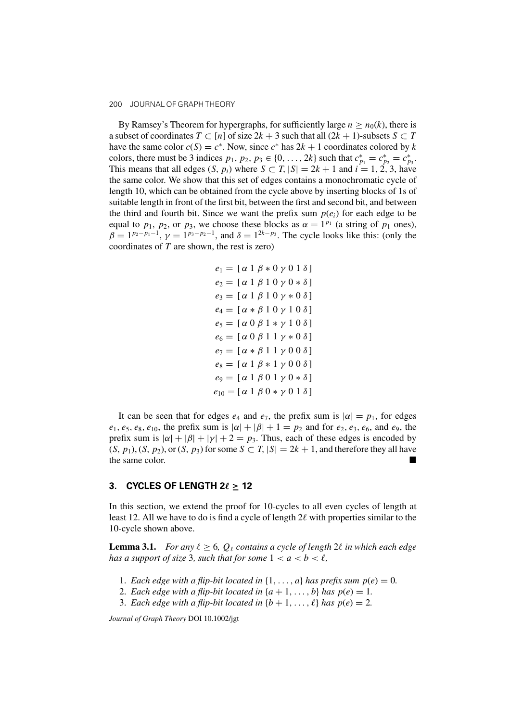By Ramsey's Theorem for hypergraphs, for sufficiently large  $n \ge n_0(k)$ , there is a subset of coordinates  $T \subset [n]$  of size  $2k + 3$  such that all  $(2k + 1)$ -subsets  $S \subset T$ have the same color  $c(S) = c^*$ . Now, since  $c^*$  has  $2k + 1$  coordinates colored by k colors, there must be 3 indices  $p_1, p_2, p_3 \in \{0, ..., 2k\}$  such that  $c_{p_1}^* = c_{p_2}^* = c_{p_3}^*$ . This means that all edges  $(S, p_i)$  where  $S \subset T$ ,  $|S| = 2k + 1$  and  $i = 1, 2, 3$ , have the same color. We show that this set of edges contains a monochromatic cycle of length 10, which can be obtained from the cycle above by inserting blocks of 1s of suitable length in front of the first bit, between the first and second bit, and between the third and fourth bit. Since we want the prefix sum  $p(e_i)$  for each edge to be equal to  $p_1$ ,  $p_2$ , or  $p_3$ , we choose these blocks as  $\alpha = 1^{p_1}$  (a string of  $p_1$  ones),  $\beta = 1^{p_2-p_1-1}$ ,  $\gamma = 1^{p_3-p_2-1}$ , and  $\delta = 1^{2k-p_3}$ . The cycle looks like this: (only the coordinates of T are shown, the rest is zero)

$$
e_1 = [\alpha 1 \beta * 0 \gamma 0 1 \delta]
$$
  
\n
$$
e_2 = [\alpha 1 \beta 1 0 \gamma 0 * \delta]
$$
  
\n
$$
e_3 = [\alpha 1 \beta 1 0 \gamma * 0 \delta]
$$
  
\n
$$
e_4 = [\alpha * \beta 1 0 \gamma 1 0 \delta]
$$
  
\n
$$
e_5 = [\alpha 0 \beta 1 * \gamma 1 0 \delta]
$$
  
\n
$$
e_6 = [\alpha 0 \beta 1 1 \gamma * 0 \delta]
$$
  
\n
$$
e_7 = [\alpha * \beta 1 1 \gamma 0 0 \delta]
$$
  
\n
$$
e_8 = [\alpha 1 \beta * 1 \gamma 0 0 \delta]
$$
  
\n
$$
e_9 = [\alpha 1 \beta 0 1 \gamma 0 * \delta]
$$
  
\n
$$
e_{10} = [\alpha 1 \beta 0 * \gamma 0 1 \delta]
$$

It can be seen that for edges  $e_4$  and  $e_7$ , the prefix sum is  $|\alpha| = p_1$ , for edges  $e_1, e_5, e_8, e_{10}$ , the prefix sum is  $|\alpha| + |\beta| + 1 = p_2$  and for  $e_2, e_3, e_6$ , and  $e_9$ , the prefix sum is  $|\alpha| + |\beta| + |\gamma| + 2 = p_3$ . Thus, each of these edges is encoded by  $(S, p_1), (S, p_2)$ , or  $(S, p_3)$  for some  $S \subset T$ ,  $|S| = 2k + 1$ , and therefore they all have the same color.

#### **3. CYCLES OF LENGTH 2** $\ell \ge 12$

In this section, we extend the proof for 10-cycles to all even cycles of length at least 12. All we have to do is find a cycle of length  $2\ell$  with properties similar to the 10-cycle shown above.

**Lemma 3.1.** *For any*  $\ell \geq 6$ ,  $Q_{\ell}$  contains a cycle of length 2 $\ell$  in which each edge *has a support of size* 3, such that for some  $1 < a < b < \ell$ ,

- 1. *Each edge with a flip-bit located in*  $\{1, \ldots, a\}$  *has prefix sum*  $p(e) = 0$ *.*
- 2. *Each edge with a flip-bit located in*  $\{a+1,\ldots,b\}$  *has*  $p(e) = 1$ *.*
- 3. *Each edge with a flip-bit located in*  $\{b + 1, \ldots, \ell\}$  *has*  $p(e) = 2$ *.*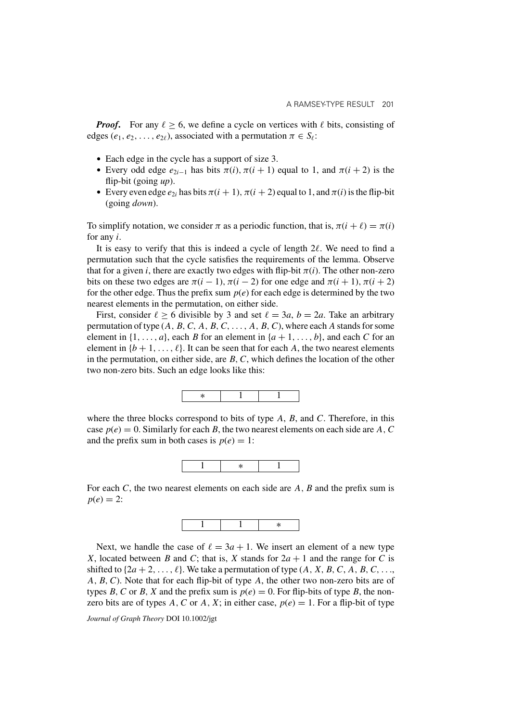*Proof.* For any  $\ell > 6$ , we define a cycle on vertices with  $\ell$  bits, consisting of edges ( $e_1, e_2, \ldots, e_{2\ell}$ ), associated with a permutation  $\pi \in S_{\ell}$ :

- Each edge in the cycle has a support of size 3.
- Every odd edge  $e_{2i-1}$  has bits  $\pi(i)$ ,  $\pi(i+1)$  equal to 1, and  $\pi(i+2)$  is the flip-bit (going *up*).
- Every even edge  $e_{2i}$  has bits  $\pi(i + 1)$ ,  $\pi(i + 2)$  equal to 1, and  $\pi(i)$  is the flip-bit (going *down*).

To simplify notation, we consider  $\pi$  as a periodic function, that is,  $\pi(i + \ell) = \pi(i)$ for any i.

It is easy to verify that this is indeed a cycle of length  $2\ell$ . We need to find a permutation such that the cycle satisfies the requirements of the lemma. Observe that for a given i, there are exactly two edges with flip-bit  $\pi(i)$ . The other non-zero bits on these two edges are  $\pi(i - 1)$ ,  $\pi(i - 2)$  for one edge and  $\pi(i + 1)$ ,  $\pi(i + 2)$ for the other edge. Thus the prefix sum  $p(e)$  for each edge is determined by the two nearest elements in the permutation, on either side.

First, consider  $\ell \ge 6$  divisible by 3 and set  $\ell = 3a$ ,  $b = 2a$ . Take an arbitrary permutation of type  $(A, B, C, A, B, C, \ldots, A, B, C)$ , where each A stands for some element in  $\{1,\ldots,a\}$ , each B for an element in  $\{a+1,\ldots,b\}$ , and each C for an element in  $\{b+1,\ldots,\ell\}$ . It can be seen that for each A, the two nearest elements in the permutation, on either side, are  $B, C$ , which defines the location of the other two non-zero bits. Such an edge looks like this:



where the three blocks correspond to bits of type  $A$ ,  $B$ , and  $C$ . Therefore, in this case  $p(e) = 0$ . Similarly for each B, the two nearest elements on each side are A, C and the prefix sum in both cases is  $p(e) = 1$ :



For each  $C$ , the two nearest elements on each side are  $A$ ,  $B$  and the prefix sum is  $p(e) = 2$ :



Next, we handle the case of  $\ell = 3a + 1$ . We insert an element of a new type X, located between B and C; that is, X stands for  $2a + 1$  and the range for C is shifted to  $\{2a + 2, \ldots, \ell\}$ . We take a permutation of type  $(A, X, B, C, A, B, C, \ldots,$ A, B, C). Note that for each flip-bit of type A, the other two non-zero bits are of types B, C or B, X and the prefix sum is  $p(e) = 0$ . For flip-bits of type B, the nonzero bits are of types A, C or A, X; in either case,  $p(e) = 1$ . For a flip-bit of type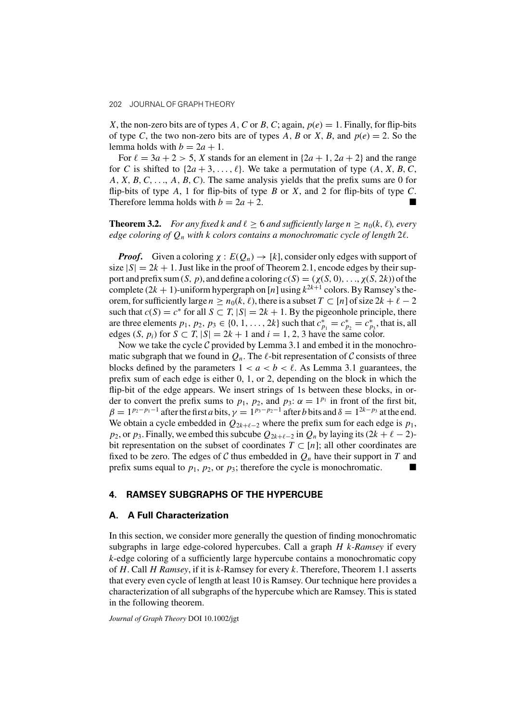X, the non-zero bits are of types A, C or B, C; again,  $p(e) = 1$ . Finally, for flip-bits of type C, the two non-zero bits are of types A, B or X, B, and  $p(e) = 2$ . So the lemma holds with  $b = 2a + 1$ .

For  $\ell = 3a + 2 > 5$ , X stands for an element in  $\{2a + 1, 2a + 2\}$  and the range for C is shifted to  $\{2a + 3, \ldots, \ell\}$ . We take a permutation of type  $(A, X, B, C, \ell)$  $A, X, B, C, \ldots, A, B, C$ . The same analysis yields that the prefix sums are 0 for flip-bits of type A, 1 for flip-bits of type B or X, and 2 for flip-bits of type C. Therefore lemma holds with  $b = 2a + 2$ .

**Theorem 3.2.** *For any fixed k and*  $\ell \geq 6$  *and sufficiently large*  $n \geq n_0(k, \ell)$ , *every edge coloring of* Qn *with* k *colors contains a monochromatic cycle of length* 2*.*

*Proof.* Given a coloring  $\chi : E(Q_n) \to [k]$ , consider only edges with support of size  $|S| = 2k + 1$ . Just like in the proof of Theorem 2.1, encode edges by their support and prefix sum  $(S, p)$ , and define a coloring  $c(S) = (\chi(S, 0), \ldots, \chi(S, 2k))$  of the complete  $(2k + 1)$ -uniform hypergraph on [n] using  $k^{2k+1}$  colors. By Ramsey's theorem, for sufficiently large  $n \ge n_0(k, \ell)$ , there is a subset  $T \subset [n]$  of size  $2k + \ell - 2$ such that  $c(S) = c^*$  for all  $S \subset T$ ,  $|S| = 2k + 1$ . By the pigeonhole principle, there are three elements  $p_1, p_2, p_3 \in \{0, 1, ..., 2k\}$  such that  $c_{p_1}^* = c_{p_2}^* = c_{p_3}^*$ , that is, all edges  $(S, p_i)$  for  $S \subset T$ ,  $|S| = 2k + 1$  and  $i = 1, 2, 3$  have the same color.

Now we take the cycle  $C$  provided by Lemma 3.1 and embed it in the monochromatic subgraph that we found in  $Q_n$ . The  $\ell$ -bit representation of C consists of three blocks defined by the parameters  $1 < a < b < l$ . As Lemma 3.1 guarantees, the prefix sum of each edge is either 0, 1, or 2, depending on the block in which the flip-bit of the edge appears. We insert strings of 1s between these blocks, in order to convert the prefix sums to  $p_1$ ,  $p_2$ , and  $p_3$ :  $\alpha = 1^{p_1}$  in front of the first bit,  $\beta = 1^{p_2-p_1-1}$  after the first a bits,  $\gamma = 1^{p_3-p_2-1}$  after b bits and  $\delta = 1^{2k-p_3}$  at the end. We obtain a cycle embedded in  $Q_{2k+\ell-2}$  where the prefix sum for each edge is  $p_1$ ,  $p_2$ , or  $p_3$ . Finally, we embed this subcube  $Q_{2k+\ell-2}$  in  $Q_n$  by laying its  $(2k+\ell-2)$ bit representation on the subset of coordinates  $T \subset [n]$ ; all other coordinates are fixed to be zero. The edges of C thus embedded in  $Q_n$  have their support in T and prefix sums equal to  $p_1$ ,  $p_2$ , or  $p_3$ ; therefore the cycle is monochromatic.

#### **4. RAMSEY SUBGRAPHS OF THE HYPERCUBE**

#### **A. A Full Characterization**

In this section, we consider more generally the question of finding monochromatic subgraphs in large edge-colored hypercubes. Call a graph H k*-Ramsey* if every k-edge coloring of a sufficiently large hypercube contains a monochromatic copy of H. Call H *Ramsey*, if it is k-Ramsey for every k. Therefore, Theorem 1.1 asserts that every even cycle of length at least 10 is Ramsey. Our technique here provides a characterization of all subgraphs of the hypercube which are Ramsey. This is stated in the following theorem.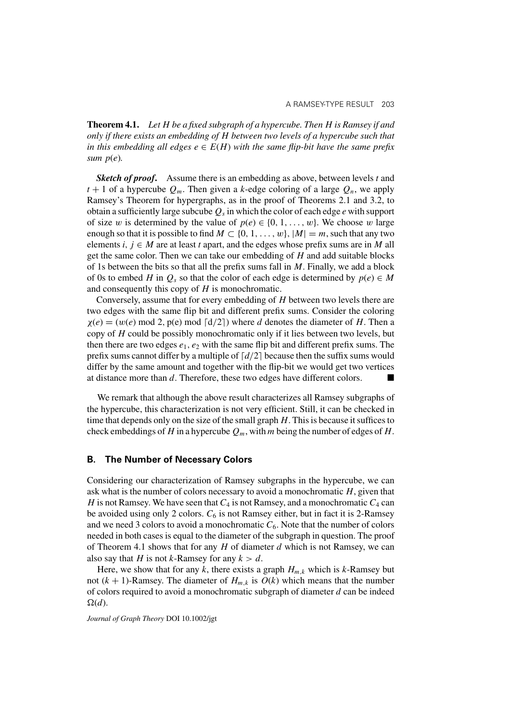**Theorem 4.1.** *Let* H *be a fixed subgraph of a hypercube. Then* H *is Ramsey if and only if there exists an embedding of* H *between two levels of a hypercube such that in this embedding all edges*  $e \in E(H)$  *with the same flip-bit have the same prefix sum* p(e)*.*

**Sketch of proof.** Assume there is an embedding as above, between levels t and  $t + 1$  of a hypercube  $Q_m$ . Then given a k-edge coloring of a large  $Q_n$ , we apply Ramsey's Theorem for hypergraphs, as in the proof of Theorems 2.1 and 3.2, to obtain a sufficiently large subcube  $Q_s$  in which the color of each edge e with support of size w is determined by the value of  $p(e) \in \{0, 1, \ldots, w\}$ . We choose w large enough so that it is possible to find  $M \subset \{0, 1, \ldots, w\}$ ,  $|M| = m$ , such that any two elements i,  $j \in M$  are at least t apart, and the edges whose prefix sums are in M all get the same color. Then we can take our embedding of  $H$  and add suitable blocks of 1s between the bits so that all the prefix sums fall in  $M$ . Finally, we add a block of 0s to embed H in  $Q_s$  so that the color of each edge is determined by  $p(e) \in M$ and consequently this copy of  $H$  is monochromatic.

Conversely, assume that for every embedding of H between two levels there are two edges with the same flip bit and different prefix sums. Consider the coloring  $\chi(e) = (w(e) \mod 2, p(e) \mod \lceil d/2 \rceil)$  where d denotes the diameter of H. Then a copy of  $H$  could be possibly monochromatic only if it lies between two levels, but then there are two edges  $e_1$ ,  $e_2$  with the same flip bit and different prefix sums. The prefix sums cannot differ by a multiple of  $\lceil d/2 \rceil$  because then the suffix sums would differ by the same amount and together with the flip-bit we would get two vertices at distance more than d. Therefore, these two edges have different colors.

We remark that although the above result characterizes all Ramsey subgraphs of the hypercube, this characterization is not very efficient. Still, it can be checked in time that depends only on the size of the small graph  $H$ . This is because it suffices to check embeddings of H in a hypercube  $Q_m$ , with m being the number of edges of H.

#### **B. The Number of Necessary Colors**

Considering our characterization of Ramsey subgraphs in the hypercube, we can ask what is the number of colors necessary to avoid a monochromatic  $H$ , given that H is not Ramsey. We have seen that  $C_4$  is not Ramsey, and a monochromatic  $C_4$  can be avoided using only 2 colors.  $C_6$  is not Ramsey either, but in fact it is 2-Ramsey and we need 3 colors to avoid a monochromatic  $C_6$ . Note that the number of colors needed in both cases is equal to the diameter of the subgraph in question. The proof of Theorem 4.1 shows that for any  $H$  of diameter  $d$  which is not Ramsey, we can also say that H is not k-Ramsey for any  $k > d$ .

Here, we show that for any k, there exists a graph  $H_{m,k}$  which is k-Ramsey but not  $(k + 1)$ -Ramsey. The diameter of  $H_{m,k}$  is  $O(k)$  which means that the number of colors required to avoid a monochromatic subgraph of diameter  $d$  can be indeed  $\Omega(d)$ .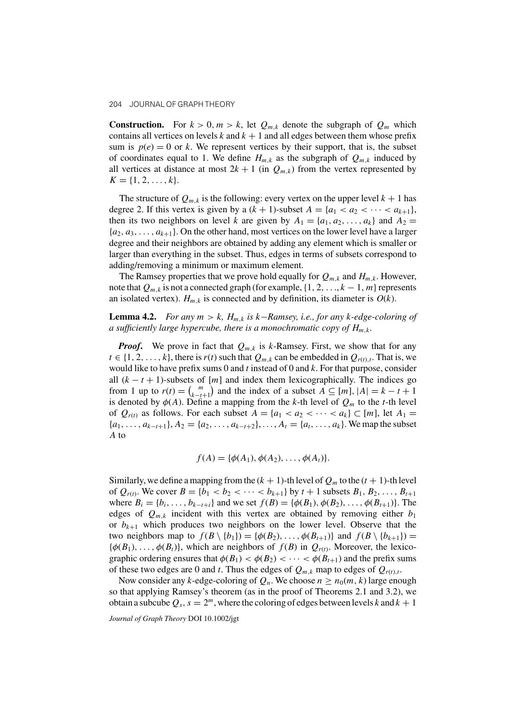**Construction.** For  $k > 0, m > k$ , let  $Q_{m,k}$  denote the subgraph of  $Q_m$  which contains all vertices on levels k and  $k + 1$  and all edges between them whose prefix sum is  $p(e) = 0$  or k. We represent vertices by their support, that is, the subset of coordinates equal to 1. We define  $H_{m,k}$  as the subgraph of  $Q_{m,k}$  induced by all vertices at distance at most  $2k + 1$  (in  $Q_{m,k}$ ) from the vertex represented by  $K = \{1, 2, \ldots, k\}.$ 

The structure of  $Q_{m,k}$  is the following: every vertex on the upper level  $k + 1$  has degree 2. If this vertex is given by a  $(k + 1)$ -subset  $A = \{a_1 < a_2 < \cdots < a_{k+1}\},\$ then its two neighbors on level k are given by  $A_1 = \{a_1, a_2, \ldots, a_k\}$  and  $A_2 =$  $\{a_2, a_3, \ldots, a_{k+1}\}\.$  On the other hand, most vertices on the lower level have a larger degree and their neighbors are obtained by adding any element which is smaller or larger than everything in the subset. Thus, edges in terms of subsets correspond to adding/removing a minimum or maximum element.

The Ramsey properties that we prove hold equally for  $Q_{m,k}$  and  $H_{m,k}$ . However, note that  $Q_{m,k}$  is not a connected graph (for example,  $\{1, 2, ..., k-1, m\}$  represents an isolated vertex).  $H_{m,k}$  is connected and by definition, its diameter is  $O(k)$ .

**Lemma 4.2.** *For any* m>k*,* Hm,k *is* k−*Ramsey, i.e., for any* k*-edge-coloring of a sufficiently large hypercube, there is a monochromatic copy of* Hm,k*.*

*Proof.* We prove in fact that  $Q_{m,k}$  is k-Ramsey. First, we show that for any  $t \in \{1, 2, \ldots, k\}$ , there is  $r(t)$  such that  $Q_{m,k}$  can be embedded in  $Q_{r(t),t}$ . That is, we would like to have prefix sums 0 and t instead of 0 and  $k$ . For that purpose, consider all  $(k - t + 1)$ -subsets of [m] and index them lexicographically. The indices go from 1 up to  $r(t) = {m \choose k-t}$  $\binom{m}{k-t+1}$  and the index of a subset  $A \subseteq [m]$ ,  $|A| = k - t + 1$ is denoted by  $\phi(A)$ . Define a mapping from the k-th level of  $Q_m$  to the t-th level of  $Q_{r(t)}$  as follows. For each subset  $A = \{a_1 < a_2 < \cdots < a_k\} \subset [m]$ , let  $A_1 =$  ${a_1, \ldots, a_{k-t+1}, A_2 = \{a_2, \ldots, a_{k-t+2}\}, \ldots, A_t = \{a_t, \ldots, a_k\}.$  We map the subset A to

$$
f(A) = \{\phi(A_1), \phi(A_2), \ldots, \phi(A_t)\}.
$$

Similarly, we define a mapping from the  $(k + 1)$ -th level of  $Q_m$  to the  $(t + 1)$ -th level of  $Q_{r(t)}$ . We cover  $B = \{b_1 < b_2 < \cdots < b_{k+1}\}$  by  $t + 1$  subsets  $B_1, B_2, \ldots, B_{t+1}$ where  $B_i = \{b_i, ..., b_{k-t+i}\}\$ and we set  $f(B) = \{\phi(B_1), \phi(B_2), ..., \phi(B_{t+1})\}\$ . The edges of  $Q_{m,k}$  incident with this vertex are obtained by removing either  $b_1$ or  $b_{k+1}$  which produces two neighbors on the lower level. Observe that the two neighbors map to  $f(B \setminus \{b_1\}) = \{\phi(B_2), \ldots, \phi(B_{t+1})\}$  and  $f(B \setminus \{b_{k+1}\}) =$  ${\phi(B_1), \ldots, \phi(B_t)}$ , which are neighbors of  $f(B)$  in  $Q_{r(t)}$ . Moreover, the lexicographic ordering ensures that  $\phi(B_1) < \phi(B_2) < \cdots < \phi(B_{t+1})$  and the prefix sums of these two edges are 0 and t. Thus the edges of  $Q_{m,k}$  map to edges of  $Q_{r(t),t}$ .

Now consider any k-edge-coloring of  $Q_n$ . We choose  $n \geq n_0(m, k)$  large enough so that applying Ramsey's theorem (as in the proof of Theorems 2.1 and 3.2), we obtain a subcube  $Q_s$ ,  $s = 2^m$ , where the coloring of edges between levels k and  $k + 1$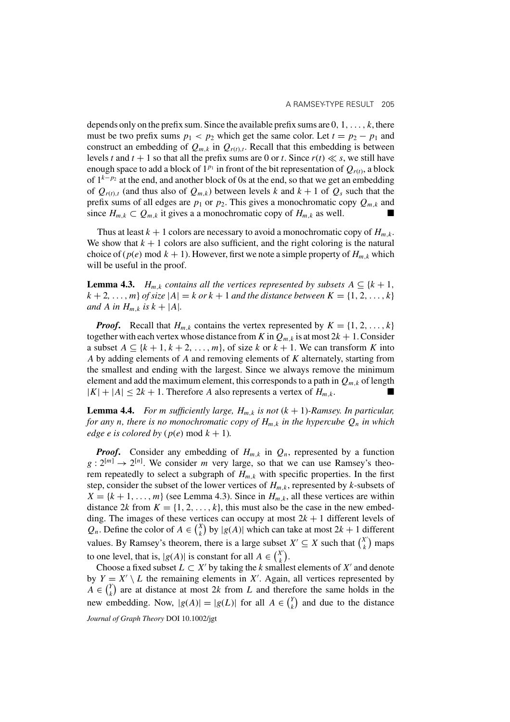depends only on the prefix sum. Since the available prefix sums are  $0, 1, \ldots, k$ , there must be two prefix sums  $p_1 < p_2$  which get the same color. Let  $t = p_2 - p_1$  and construct an embedding of  $Q_{m,k}$  in  $Q_{r(t),t}$ . Recall that this embedding is between levels t and  $t + 1$  so that all the prefix sums are 0 or t. Since  $r(t) \ll s$ , we still have enough space to add a block of  $1^{p_1}$  in front of the bit representation of  $Q_{r(t)}$ , a block of  $1^{k-p_2}$  at the end, and another block of 0s at the end, so that we get an embedding of  $Q_{r(t),t}$  (and thus also of  $Q_{m,k}$ ) between levels k and  $k + 1$  of  $Q_s$  such that the prefix sums of all edges are  $p_1$  or  $p_2$ . This gives a monochromatic copy  $Q_{m,k}$  and since  $H_{m,k} \subset Q_{m,k}$  it gives a a monochromatic copy of  $H_{m,k}$  as well.

Thus at least  $k + 1$  colors are necessary to avoid a monochromatic copy of  $H_{m,k}$ . We show that  $k + 1$  colors are also sufficient, and the right coloring is the natural choice of  $(p(e) \mod k + 1)$ . However, first we note a simple property of  $H_{m,k}$  which will be useful in the proof.

**Lemma 4.3.**  $H_{m,k}$  *contains all the vertices represented by subsets*  $A \subseteq \{k+1, k\}$  $k + 2, \ldots, m$  *of size*  $|A| = k$  *or*  $k + 1$  *and the distance between*  $K = \{1, 2, \ldots, k\}$ *and* A *in*  $H_{m,k}$  *is*  $k + |A|$ *.* 

*Proof.* Recall that  $H_{m,k}$  contains the vertex represented by  $K = \{1, 2, ..., k\}$ together with each vertex whose distance from K in  $Q_{m,k}$  is at most  $2k + 1$ . Consider a subset  $A \subseteq \{k+1, k+2, \ldots, m\}$ , of size k or  $k+1$ . We can transform K into A by adding elements of A and removing elements of K alternately, starting from the smallest and ending with the largest. Since we always remove the minimum element and add the maximum element, this corresponds to a path in  $Q_{m,k}$  of length  $|K|+|A| \leq 2k+1$ . Therefore A also represents a vertex of  $H_{m,k}$ .

**Lemma 4.4.** *For m sufficiently large,*  $H_{m,k}$  *is not*  $(k + 1)$ *-Ramsey. In particular, for any n, there is no monochromatic copy of*  $H_{m,k}$  *in the hypercube*  $Q_n$  *in which edge e is colored by* ( $p(e)$  mod  $k + 1$ ).

*Proof.* Consider any embedding of  $H_{m,k}$  in  $Q_n$ , represented by a function  $g: 2^{[m]} \to 2^{[n]}$ . We consider m very large, so that we can use Ramsey's theorem repeatedly to select a subgraph of  $H_{m,k}$  with specific properties. In the first step, consider the subset of the lower vertices of  $H_{m,k}$ , represented by k-subsets of  $X = \{k+1,\ldots,m\}$  (see Lemma 4.3). Since in  $H_{m,k}$ , all these vertices are within distance 2k from  $K = \{1, 2, ..., k\}$ , this must also be the case in the new embedding. The images of these vertices can occupy at most  $2k + 1$  different levels of  $Q_n$ . Define the color of  $A \in {X \choose k}$  $\binom{x}{k}$  by  $|g(A)|$  which can take at most  $2k + 1$  different values. By Ramsey's theorem, there is a large subset  $X' \subseteq X$  such that  $\binom{X'}{k}$  $\binom{X'}{k}$  maps to one level, that is,  $|g(A)|$  is constant for all  $A \in {X'_{k} \choose k}$  $\binom{X'}{k}$ .

Choose a fixed subset  $L \subset X'$  by taking the k smallest elements of X' and denote by  $Y = X' \setminus L$  the remaining elements in X'. Again, all vertices represented by  $\ddot{A} \in \binom{Y}{k}$  $\binom{Y}{k}$  are at distance at most 2k from L and therefore the same holds in the new embedding. Now,  $|g(A)| = |g(L)|$  for all  $A \in {Y \choose k}$  $\binom{Y}{k}$  and due to the distance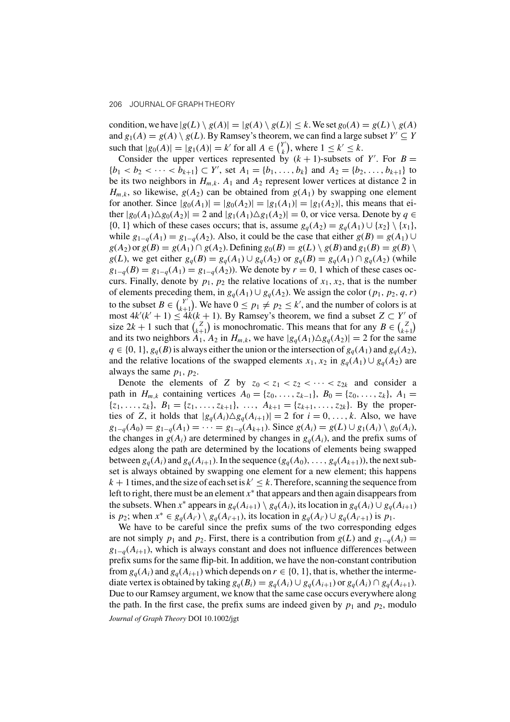condition, we have  $|g(L) \setminus g(A)| = |g(A) \setminus g(L)| \leq k$ . We set  $g_0(A) = g(L) \setminus g(A)$ and  $g_1(A) = g(A) \setminus g(L)$ . By Ramsey's theorem, we can find a large subset  $Y' \subseteq Y$ such that  $|g_0(A)| = |g_1(A)| = k'$  for all  $A \in {Y' \choose k}$  $\binom{Y'}{k}$ , where  $1 \leq k' \leq k$ .

Consider the upper vertices represented by  $(k + 1)$ -subsets of Y'. For  $B =$  ${b_1 < b_2 < \cdots < b_{k+1} \} \subset Y'$ , set  $A_1 = {b_1, \ldots, b_k}$  and  $A_2 = {b_2, \ldots, b_{k+1}}$  to be its two neighbors in  $H_{m,k}$ .  $A_1$  and  $A_2$  represent lower vertices at distance 2 in  $H_{m,k}$ , so likewise,  $g(A_2)$  can be obtained from  $g(A_1)$  by swapping one element for another. Since  $|g_0(A_1)|=|g_0(A_2)|=|g_1(A_1)|=|g_1(A_2)|$ , this means that either  $|g_0(A_1)\Delta g_0(A_2)| = 2$  and  $|g_1(A_1)\Delta g_1(A_2)| = 0$ , or vice versa. Denote by  $q \in$ {0, 1} which of these cases occurs; that is, assume  $g_q(A_2) = g_q(A_1) \cup \{x_2\} \setminus \{x_1\}$ , while  $g_{1-q}(A_1) = g_{1-q}(A_2)$ . Also, it could be the case that either  $g(B) = g(A_1) \cup$  $g(A_2)$  or  $g(B) = g(A_1) \cap g(A_2)$ . Defining  $g_0(B) = g(L) \setminus g(B)$  and  $g_1(B) = g(B) \setminus g(B)$ g(L), we get either  $g_q(B) = g_q(A_1) \cup g_q(A_2)$  or  $g_q(B) = g_q(A_1) \cap g_q(A_2)$  (while  $g_{1-q}(B) = g_{1-q}(A_1) = g_{1-q}(A_2)$ . We denote by  $r = 0$ , 1 which of these cases occurs. Finally, denote by  $p_1$ ,  $p_2$  the relative locations of  $x_1$ ,  $x_2$ , that is the number of elements preceding them, in  $g_q(A_1) \cup g_q(A_2)$ . We assign the color  $(p_1, p_2, q, r)$ to the subset  $B \in {Y' \choose k+1}$  $\binom{Y}{k+1}$ . We have  $0 \le p_1 \ne p_2 \le k'$ , and the number of colors is at most  $4k'(k'+1) \leq 4k(k+1)$ . By Ramsey's theorem, we find a subset  $Z \subset Y'$  of size  $2k + 1$  such that  $\binom{z}{k+1}$  $\binom{z}{k+1}$  is monochromatic. This means that for any  $B \in \binom{z}{k+1}$  $\binom{Z}{k+1}$ and its two neighbors  $A_1$ ,  $A_2$  in  $H_{m,k}$ , we have  $|g_q(A_1) \Delta g_q(A_2)| = 2$  for the same  $q \in \{0, 1\}, g_q(B)$  is always either the union or the intersection of  $g_q(A_1)$  and  $g_q(A_2)$ , and the relative locations of the swapped elements  $x_1, x_2$  in  $g_q(A_1) \cup g_q(A_2)$  are always the same  $p_1$ ,  $p_2$ .

Denote the elements of Z by  $z_0 < z_1 < z_2 < \cdots < z_{2k}$  and consider a path in  $H_{m,k}$  containing vertices  $A_0 = \{z_0, \ldots, z_{k-1}\}, B_0 = \{z_0, \ldots, z_k\}, A_1 =$  $\{z_1, \ldots, z_k\}, B_1 = \{z_1, \ldots, z_{k+1}\}, \ldots, A_{k+1} = \{z_{k+1}, \ldots, z_{2k}\}.$  By the properties of Z, it holds that  $|g_q(A_i) \Delta g_q(A_{i+1})| = 2$  for  $i = 0, \ldots, k$ . Also, we have  $g_{1-q}(A_0) = g_{1-q}(A_1) = \cdots = g_{1-q}(A_{k+1})$ . Since  $g(A_i) = g(L) \cup g_1(A_i) \setminus g_0(A_i)$ , the changes in  $g(A_i)$  are determined by changes in  $g_q(A_i)$ , and the prefix sums of edges along the path are determined by the locations of elements being swapped between  $g_q(A_i)$  and  $g_q(A_{i+1})$ . In the sequence  $(g_q(A_0), \ldots, g_q(A_{k+1}))$ , the next subset is always obtained by swapping one element for a new element; this happens  $k + 1$  times, and the size of each set is  $k' \leq k$ . Therefore, scanning the sequence from left to right, there must be an element  $x^*$  that appears and then again disappears from the subsets. When x<sup>∗</sup> appears in  $g_q(A_{i+1}) \setminus g_q(A_i)$ , its location in  $g_q(A_i) \cup g_q(A_{i+1})$ is  $p_2$ ; when  $x^* \in g_q(A_{i'}) \setminus g_q(A_{i'+1})$ , its location in  $g_q(A_{i'}) \cup g_q(A_{i'+1})$  is  $p_1$ .

We have to be careful since the prefix sums of the two corresponding edges are not simply  $p_1$  and  $p_2$ . First, there is a contribution from  $g(L)$  and  $g_{1-q}(A_i)$  =  $g_{1-q}(A_{i+1})$ , which is always constant and does not influence differences between prefix sums for the same flip-bit. In addition, we have the non-constant contribution from  $g_q(A_i)$  and  $g_q(A_{i+1})$  which depends on  $r \in \{0, 1\}$ , that is, whether the intermediate vertex is obtained by taking  $g_q(B_i) = g_q(A_i) \cup g_q(A_{i+1})$  or  $g_q(A_i) \cap g_q(A_{i+1})$ . Due to our Ramsey argument, we know that the same case occurs everywhere along the path. In the first case, the prefix sums are indeed given by  $p_1$  and  $p_2$ , modulo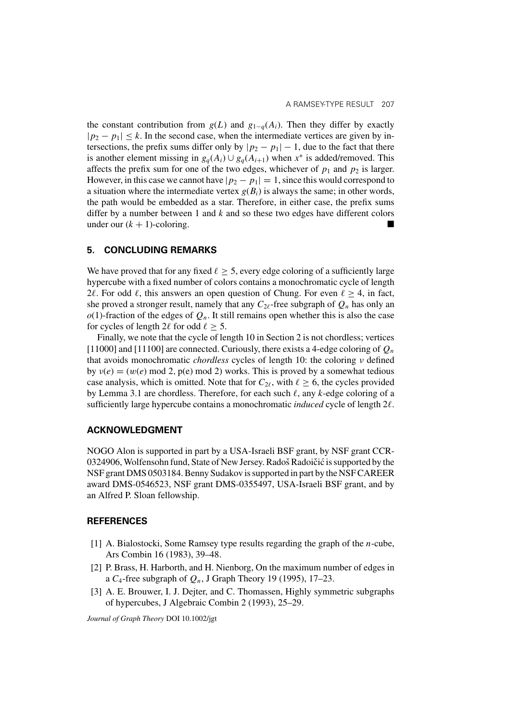the constant contribution from  $g(L)$  and  $g_{1-q}(A_i)$ . Then they differ by exactly  $|p_2 - p_1| \le k$ . In the second case, when the intermediate vertices are given by intersections, the prefix sums differ only by  $|p_2 - p_1| - 1$ , due to the fact that there is another element missing in  $g_q(A_i) \cup g_q(A_{i+1})$  when  $x^*$  is added/removed. This affects the prefix sum for one of the two edges, whichever of  $p_1$  and  $p_2$  is larger. However, in this case we cannot have  $|p_2 - p_1| = 1$ , since this would correspond to a situation where the intermediate vertex  $g(B_i)$  is always the same; in other words, the path would be embedded as a star. Therefore, in either case, the prefix sums differ by a number between 1 and  $k$  and so these two edges have different colors under our  $(k + 1)$ -coloring.

### **5. CONCLUDING REMARKS**

We have proved that for any fixed  $\ell \geq 5$ , every edge coloring of a sufficiently large hypercube with a fixed number of colors contains a monochromatic cycle of length 2 $\ell$ . For odd  $\ell$ , this answers an open question of Chung. For even  $\ell \geq 4$ , in fact, she proved a stronger result, namely that any  $C_{2\ell}$ -free subgraph of  $Q_n$  has only an  $o(1)$ -fraction of the edges of  $Q_n$ . It still remains open whether this is also the case for cycles of length 2 $\ell$  for odd  $\ell \geq 5$ .

Finally, we note that the cycle of length 10 in Section 2 is not chordless; vertices [11000] and [11100] are connected. Curiously, there exists a 4-edge coloring of  $Q_n$ that avoids monochromatic *chordless* cycles of length 10: the coloring ν defined by  $v(e) = (w(e) \mod 2, p(e) \mod 2)$  works. This is proved by a somewhat tedious case analysis, which is omitted. Note that for  $C_{2\ell}$ , with  $\ell \geq 6$ , the cycles provided by Lemma 3.1 are chordless. Therefore, for each such  $\ell$ , any  $k$ -edge coloring of a sufficiently large hypercube contains a monochromatic *induced* cycle of length 2 $\ell$ .

#### **ACKNOWLEDGMENT**

NOGO Alon is supported in part by a USA-Israeli BSF grant, by NSF grant CCR-0324906, Wolfensohn fund, State of New Jersey. Radoš Radoičić is supported by the NSF grant DMS 0503184. Benny Sudakov is supported in part by the NSF CAREER award DMS-0546523, NSF grant DMS-0355497, USA-Israeli BSF grant, and by an Alfred P. Sloan fellowship.

## **REFERENCES**

- [1] A. Bialostocki, Some Ramsey type results regarding the graph of the *n*-cube, Ars Combin 16 (1983), 39–48.
- [2] P. Brass, H. Harborth, and H. Nienborg, On the maximum number of edges in a  $C_4$ -free subgraph of  $Q_n$ , J Graph Theory 19 (1995), 17–23.
- [3] A. E. Brouwer, I. J. Dejter, and C. Thomassen, Highly symmetric subgraphs of hypercubes, J Algebraic Combin 2 (1993), 25–29.